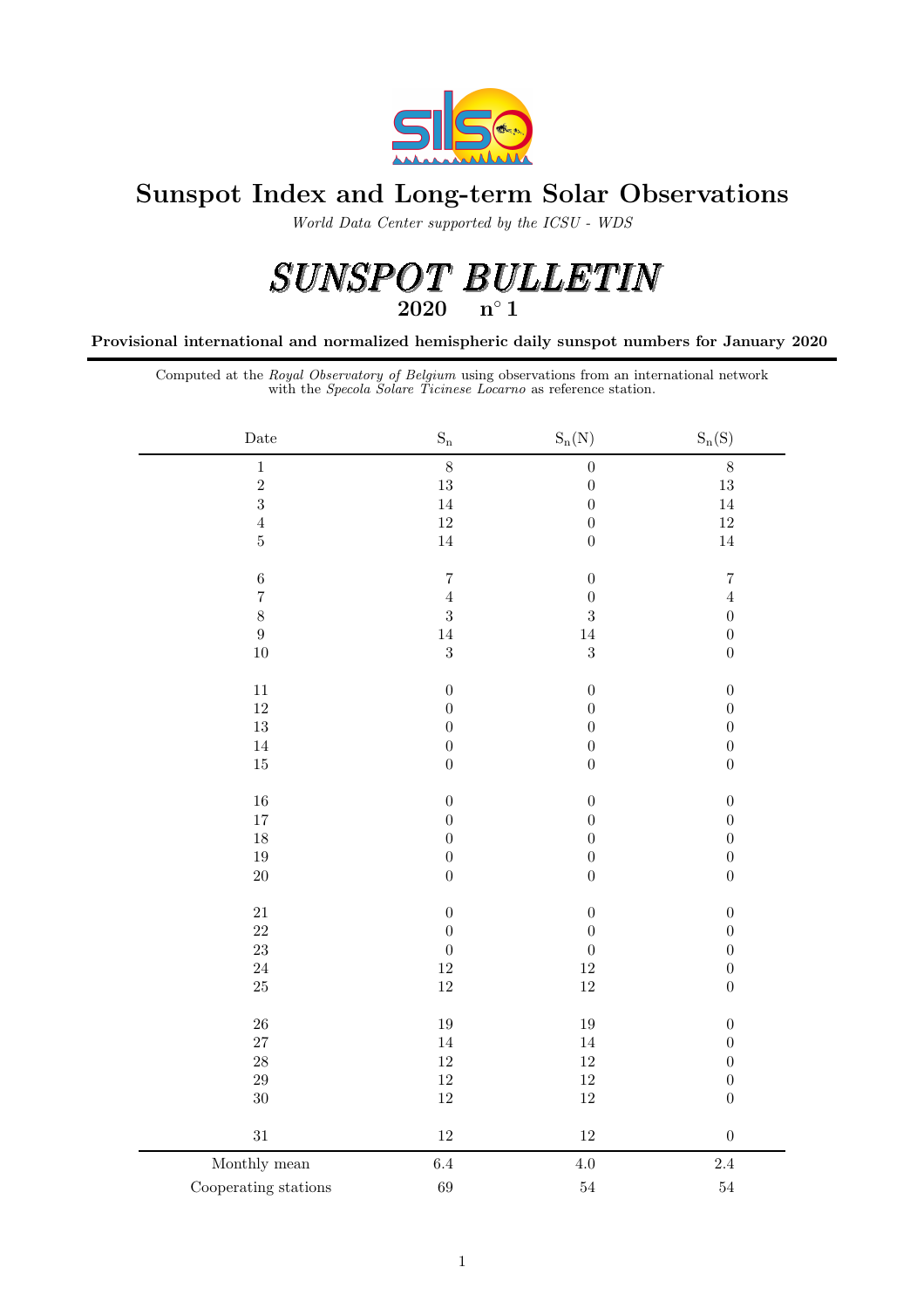

## Sunspot Index and Long-term Solar Observations

World Data Center supported by the ICSU - WDS

# $\begin{array}{lll} \textit{SUNSPOT} & \textit{BULLETIN} \\ \textit{ } & \xrightarrow{\hspace{-3.5mm}\textit{n}\hspace{-1.5mm}\textit{^{\hspace{-1.5mm}\textit{^{\hspace{-1.5mm}\textit{2020}}}}}\hspace{-3.5mm} \end{array}$

Provisional international and normalized hemispheric daily sunspot numbers for January 2020

Computed at the Royal Observatory of Belgium using observations from an international network with the Specola Solare Ticinese Locarno as reference station.

| $\rm{Date}$          | $\mathbf{S}_{\mathbf{n}}$ | $S_n(N)$         | $S_n(S)$         |
|----------------------|---------------------------|------------------|------------------|
| $\,1$                | $\,8\,$                   | $\boldsymbol{0}$ | $\,8\,$          |
| $\,2$                | 13                        | $\boldsymbol{0}$ | 13               |
| $\overline{3}$       | 14                        | $\boldsymbol{0}$ | 14               |
| $\,4\,$              | $12\,$                    | $\overline{0}$   | $12\,$           |
| $\bf 5$              | $14\,$                    | $\boldsymbol{0}$ | $14\,$           |
| $\,6$                | $\overline{7}$            | $\boldsymbol{0}$ | $\overline{7}$   |
| $\overline{7}$       | $\sqrt{4}$                | $\boldsymbol{0}$ | $\,4\,$          |
| $\,$ $\,$            | $\sqrt{3}$                | 3                | $\boldsymbol{0}$ |
| $\boldsymbol{9}$     | 14                        | 14               | $\overline{0}$   |
| 10                   | $\sqrt{3}$                | $\overline{3}$   | $\boldsymbol{0}$ |
| $11\,$               | $\boldsymbol{0}$          | $\boldsymbol{0}$ | $\boldsymbol{0}$ |
| $12\,$               | $\boldsymbol{0}$          | $\boldsymbol{0}$ | $\boldsymbol{0}$ |
| $13\,$               | $\boldsymbol{0}$          | $\boldsymbol{0}$ | $\boldsymbol{0}$ |
| $14\,$               | $\boldsymbol{0}$          | $\boldsymbol{0}$ | $\boldsymbol{0}$ |
| $15\,$               | $\boldsymbol{0}$          | $\boldsymbol{0}$ | $\boldsymbol{0}$ |
| $16\,$               | $\boldsymbol{0}$          | $\boldsymbol{0}$ | $\boldsymbol{0}$ |
| $17\,$               | $\boldsymbol{0}$          | $\overline{0}$   | $\overline{0}$   |
| $18\,$               | $\boldsymbol{0}$          | $\boldsymbol{0}$ | $\boldsymbol{0}$ |
| $19\,$               | $\boldsymbol{0}$          | $\boldsymbol{0}$ | $\boldsymbol{0}$ |
| $20\,$               | $\boldsymbol{0}$          | $\boldsymbol{0}$ | $\boldsymbol{0}$ |
| $21\,$               | $\boldsymbol{0}$          | $\boldsymbol{0}$ | $\boldsymbol{0}$ |
| $22\,$               | $\boldsymbol{0}$          | $\boldsymbol{0}$ | $\boldsymbol{0}$ |
| $23\,$               | $\boldsymbol{0}$          | $\boldsymbol{0}$ | $\boldsymbol{0}$ |
| $\sqrt{24}$          | $12\,$                    | $12\,$           | $\boldsymbol{0}$ |
| $25\,$               | $12\,$                    | 12               | $\boldsymbol{0}$ |
| ${\bf 26}$           | $19\,$                    | 19               | $\boldsymbol{0}$ |
| $27\,$               | $14\,$                    | $14\,$           | $\boldsymbol{0}$ |
| $\sqrt{28}$          | $12\,$                    | $12\,$           | $\boldsymbol{0}$ |
| $\,29$               | $12\,$                    | $12\,$           | $\boldsymbol{0}$ |
| $30\,$               | $12\,$                    | $12\,$           | $\boldsymbol{0}$ |
| $31\,$               | $12\,$                    | $12\,$           | $\boldsymbol{0}$ |
| Monthly mean         | 6.4                       | 4.0              | 2.4              |
| Cooperating stations | 69                        | $\sqrt{54}$      | $\sqrt{54}$      |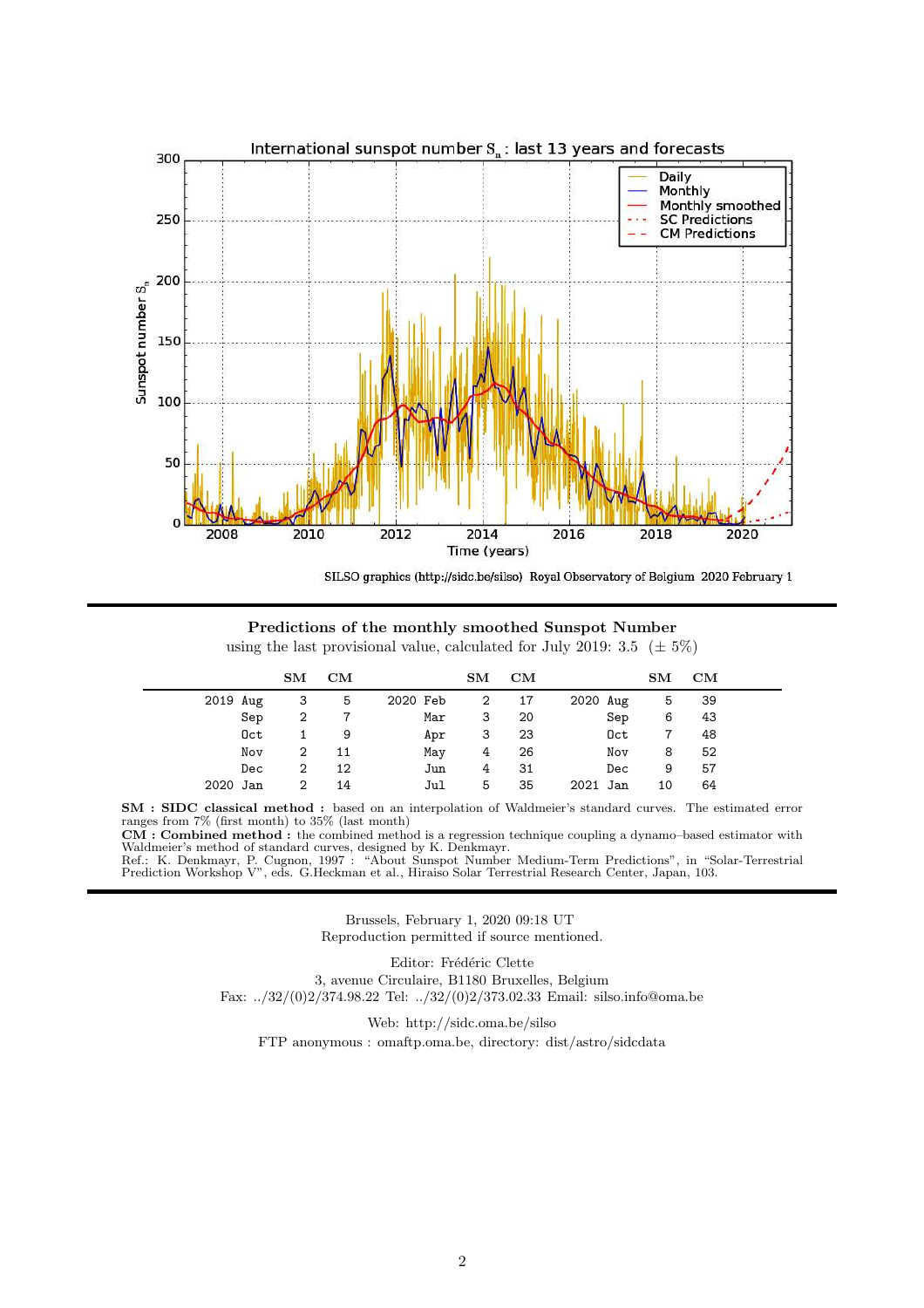

SILSO graphics (http://sidc.be/silso) Royal Observatory of Belgium 2020 February 1

Predictions of the monthly smoothed Sunspot Number using the last provisional value, calculated for July 2019: 3.5 ( $\pm$  5%)

|          | $\mathbf{S}\mathbf{M}$ | CM |          | $\mathbf{S} \mathbf{M}$ | CM |          | $\mathbf{S} \mathbf{M}$ | CM |  |
|----------|------------------------|----|----------|-------------------------|----|----------|-------------------------|----|--|
| 2019 Aug | 3                      | 5  | 2020 Feb | 2                       | 17 | 2020 Aug | 5                       | 39 |  |
| Sep      | 2                      |    | Mar      | 3                       | 20 | Sep      | 6                       | 43 |  |
| Oct      |                        | 9  | Apr      | 3                       | 23 | Oct      |                         | 48 |  |
| Nov      | 2                      | 11 | May      | 4                       | 26 | Nov      | 8                       | 52 |  |
| Dec      | 2                      | 12 | Jun      | 4                       | 31 | Dec      | 9                       | 57 |  |
| 2020 Jan | 2                      | 14 | Jul      | 5                       | 35 | 2021 Jan | 10                      | 64 |  |

SM : SIDC classical method : based on an interpolation of Waldmeier's standard curves. The estimated error ranges from 7% (first month) to 35% (last month)<br>**CM** : **Combined method** : the combined method is a regression technique coupling a dynamo–based estimator with

Waldmeier's method of standard curves, designed by K. Denkmayr.

Ref.: K. Denkmayr, P. Cugnon, 1997 : "About Sunspot Number Medium-Term Predictions", in "Solar-Terrestrial Prediction Workshop V", eds. G.Heckman et al., Hiraiso Solar Terrestrial Research Center, Japan, 103.

> Brussels, February 1, 2020 09:18 UT Reproduction permitted if source mentioned.

> > Editor: Frédéric Clette

3, avenue Circulaire, B1180 Bruxelles, Belgium Fax: ../32/(0)2/374.98.22 Tel: ../32/(0)2/373.02.33 Email: silso.info@oma.be

Web: http://sidc.oma.be/silso

FTP anonymous : omaftp.oma.be, directory: dist/astro/sidcdata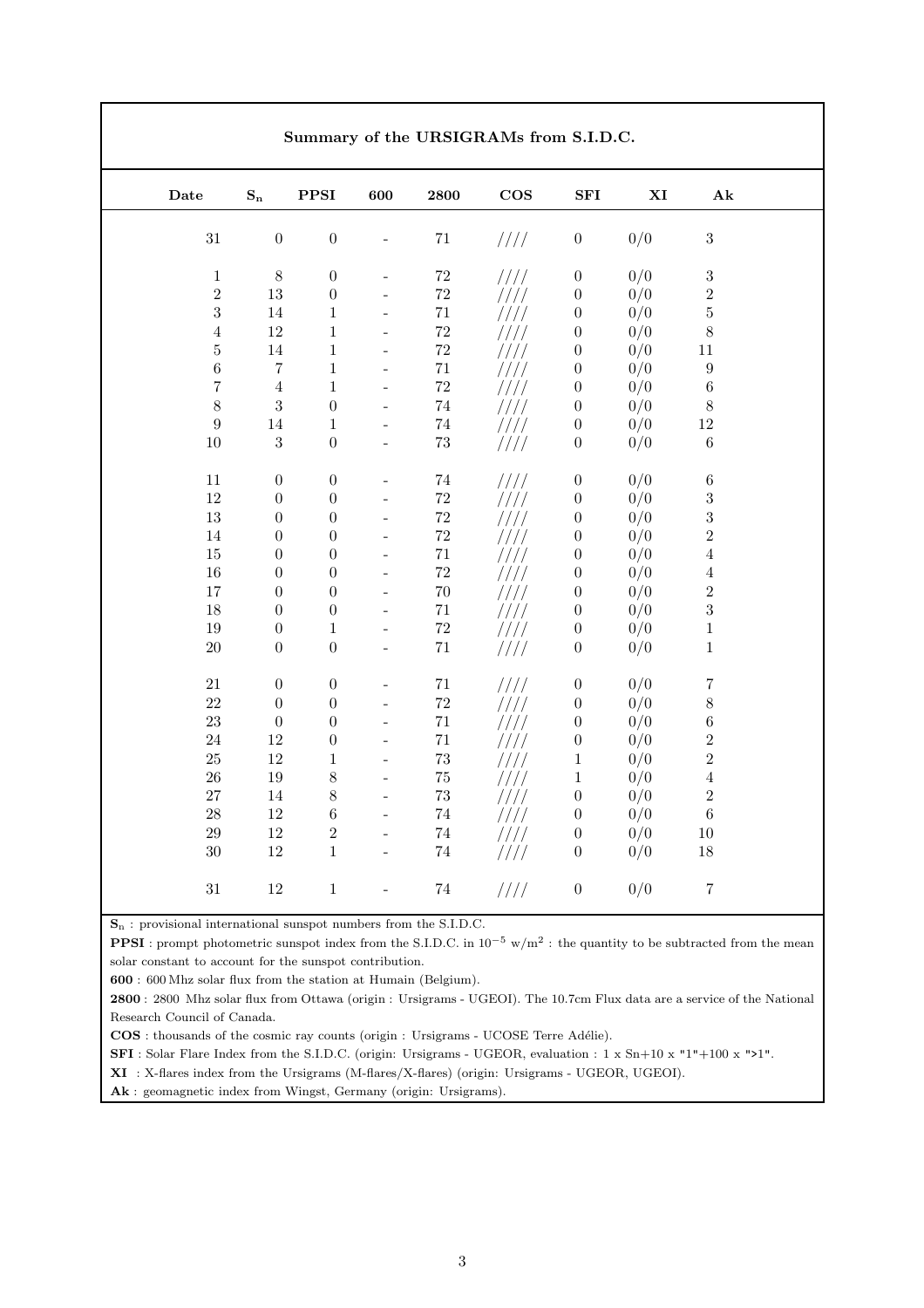| $\rm{\textbf{Date}}$ | $\mathbf{S_{n}}$ | ${\bf PPSI}$     | 600                      | 2800        | $\cos$        | ${\bf SFI}$      | $\mathbf{X}\mathbf{I}$ | $\mathbf{A} \mathbf{k}$ |
|----------------------|------------------|------------------|--------------------------|-------------|---------------|------------------|------------------------|-------------------------|
| $31\,$               | $\boldsymbol{0}$ | $\boldsymbol{0}$ |                          | $71\,$      | 1111          | $\boldsymbol{0}$ | 0/0                    | $\sqrt{3}$              |
| $\,1\,$              | $8\,$            | $\boldsymbol{0}$ |                          | $72\,$      | 1111          | $\boldsymbol{0}$ | 0/0                    | $\sqrt{3}$              |
| $\,2$                | $13\,$           | $\boldsymbol{0}$ | $\blacksquare$           | $72\,$      | 1111          | $\boldsymbol{0}$ | 0/0                    | $\overline{2}$          |
| $\sqrt{3}$           | $14\,$           | $\,1\,$          | $\overline{\phantom{a}}$ | $71\,$      | ////          | $\boldsymbol{0}$ | 0/0                    | $\rm 5$                 |
| $\,4\,$              | $12\,$           | $\mathbf{1}$     | $\equiv$                 | $\sqrt{72}$ | ////          | $\boldsymbol{0}$ | 0/0                    | $8\,$                   |
| $\bf 5$              | $14\,$           | $\mathbf{1}$     | $\frac{1}{2}$            | $\sqrt{72}$ | ////          | $\boldsymbol{0}$ | 0/0                    | $11\,$                  |
| $\,6\,$              | $\overline{7}$   | $\mathbf{1}$     | $\frac{1}{2}$            | $71\,$      | ////          | $\boldsymbol{0}$ | 0/0                    | $\boldsymbol{9}$        |
| $\bf 7$              | $\sqrt{4}$       | $\mathbf{1}$     | $\overline{\phantom{a}}$ | $72\,$      | ////          | $\boldsymbol{0}$ | 0/0                    | $\,6\,$                 |
| $8\,$                | $\sqrt{3}$       | $\boldsymbol{0}$ | $\frac{1}{2}$            | $74\,$      | ////          | $\boldsymbol{0}$ | 0/0                    | $8\,$                   |
| $\boldsymbol{9}$     | $14\,$           | $\mathbf{1}$     | $\frac{1}{2}$            | $74\,$      | ////          | $\boldsymbol{0}$ | 0/0                    | $12\,$                  |
| $10\,$               | $\sqrt{3}$       | $\boldsymbol{0}$ | $\overline{a}$           | $73\,$      | 1111          | $\boldsymbol{0}$ | 0/0                    | $\,6\,$                 |
| $11\,$               | $\boldsymbol{0}$ | $\boldsymbol{0}$ | $\bar{\phantom{a}}$      | $74\,$      | 1111          | $\boldsymbol{0}$ | 0/0                    | $\,6\,$                 |
| $12\,$               | $\boldsymbol{0}$ | $\overline{0}$   | $\overline{\phantom{a}}$ | $\rm 72$    | ////          | $\boldsymbol{0}$ | 0/0                    | $\sqrt{3}$              |
| $13\,$               | $\boldsymbol{0}$ | $\boldsymbol{0}$ | $\overline{\phantom{0}}$ | $72\,$      | ////          | $\boldsymbol{0}$ | 0/0                    | $\sqrt{3}$              |
| 14                   | $\boldsymbol{0}$ | $\overline{0}$   | $\overline{\phantom{0}}$ | $\sqrt{72}$ | ////          | $\boldsymbol{0}$ | 0/0                    | $\overline{2}$          |
| $15\,$               | $\boldsymbol{0}$ | $\boldsymbol{0}$ | $\overline{\phantom{a}}$ | $71\,$      | ////          | $\boldsymbol{0}$ | 0/0                    | $\sqrt{4}$              |
| $16\,$               | $\boldsymbol{0}$ | $\boldsymbol{0}$ | $\overline{\phantom{0}}$ | $72\,$      | ////          | $\boldsymbol{0}$ | 0/0                    | $\overline{4}$          |
| 17                   | $\boldsymbol{0}$ | $\boldsymbol{0}$ | $\overline{\phantom{0}}$ | $70\,$      | ////          | $\boldsymbol{0}$ | 0/0                    | $\,2$                   |
| 18                   | $\boldsymbol{0}$ | $\boldsymbol{0}$ | $\overline{a}$           | $71\,$      | ////          | $\boldsymbol{0}$ | 0/0                    | $\sqrt{3}$              |
| $19\,$               | $\boldsymbol{0}$ | $\mathbf{1}$     | $\frac{1}{2}$            | $72\,$      | 1111          | $\boldsymbol{0}$ | 0/0                    | $\,1$                   |
| $20\,$               | $\boldsymbol{0}$ | $\boldsymbol{0}$ | $\bar{\phantom{a}}$      | $71\,$      | $\frac{1}{1}$ | $\boldsymbol{0}$ | 0/0                    | $\,1$                   |
| $21\,$               | $\boldsymbol{0}$ | $\boldsymbol{0}$ |                          | $71\,$      | 1111          | $\boldsymbol{0}$ | 0/0                    | $\,7$                   |
| $22\,$               | $\boldsymbol{0}$ | $\boldsymbol{0}$ | $\overline{\phantom{0}}$ | $72\,$      | 1111          | $\boldsymbol{0}$ | 0/0                    | $8\,$                   |
| 23                   | $\boldsymbol{0}$ | $\boldsymbol{0}$ | $\overline{\phantom{0}}$ | $71\,$      | ////          | $\boldsymbol{0}$ | 0/0                    | $\,6\,$                 |
| $24\,$               | $12\,$           | $\boldsymbol{0}$ | $\overline{a}$           | $71\,$      | ////          | $\boldsymbol{0}$ | 0/0                    | $\sqrt{2}$              |
| $25\,$               | $12\,$           | $\,1\,$          | $\overline{\phantom{a}}$ | $73\,$      | ////          | $\,1\,$          | 0/0                    | $\,2$                   |
| $26\,$               | 19               | 8                | $\frac{1}{2}$            | $75\,$      | ////          | $\,1\,$          | 0/0                    | $\sqrt{4}$              |
| 27                   | 14               | $\,8\,$          | $\bar{\phantom{a}}$      | $73\,$      | ////          | $\boldsymbol{0}$ | 0/0                    | $\,2$                   |
| $28\,$               | $12\,$           | $\,6$            | $\overline{\phantom{a}}$ | $74\,$      | ////          | $\boldsymbol{0}$ | 0/0                    | $\,6\,$                 |
| $29\,$               | $12\,$           | $\sqrt{2}$       | $\blacksquare$           | $74\,$      | ////          | $\boldsymbol{0}$ | 0/0                    | $10\,$                  |
| $30\,$               | $12\,$           | $\mathbf{1}$     | $\overline{a}$           | $74\,$      | ////          | $\boldsymbol{0}$ | 0/0                    | 18                      |

S<sup>n</sup> : provisional international sunspot numbers from the S.I.D.C.

**PPSI**: prompt photometric sunspot index from the S.I.D.C. in  $10^{-5}$  w/m<sup>2</sup>: the quantity to be subtracted from the mean solar constant to account for the sunspot contribution.

600 : 600 Mhz solar flux from the station at Humain (Belgium).

2800 : 2800 Mhz solar flux from Ottawa (origin : Ursigrams - UGEOI). The 10.7cm Flux data are a service of the National Research Council of Canada.

COS : thousands of the cosmic ray counts (origin : Ursigrams - UCOSE Terre Adélie).

SFI: Solar Flare Index from the S.I.D.C. (origin: Ursigrams - UGEOR, evaluation : 1 x Sn+10 x "1"+100 x ">1".

XI : X-flares index from the Ursigrams (M-flares/X-flares) (origin: Ursigrams - UGEOR, UGEOI).

Ak : geomagnetic index from Wingst, Germany (origin: Ursigrams).